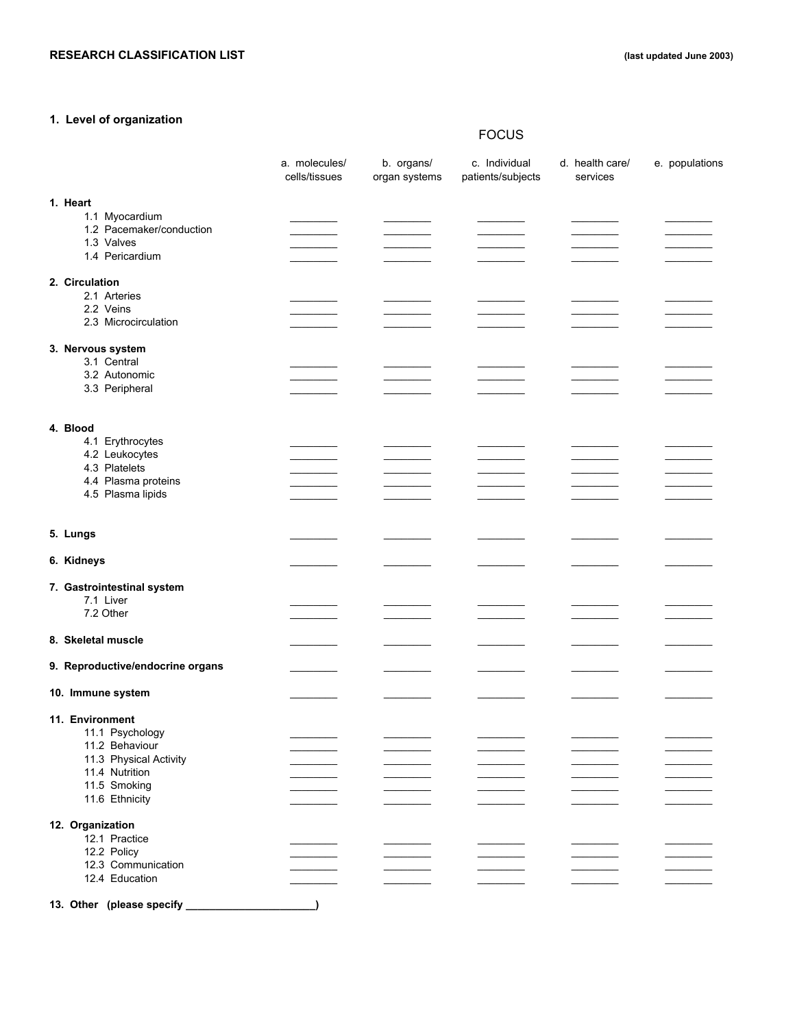# **1. Level of organization**

# FOCUS

|  |                   |                                    | a. molecules/<br>cells/tissues | b. organs/<br>organ systems | c. Individual<br>patients/subjects | d. health care/<br>services | e. populations |
|--|-------------------|------------------------------------|--------------------------------|-----------------------------|------------------------------------|-----------------------------|----------------|
|  | 1. Heart          |                                    |                                |                             |                                    |                             |                |
|  |                   | 1.1 Myocardium                     |                                |                             |                                    |                             |                |
|  |                   | 1.2 Pacemaker/conduction           |                                |                             |                                    |                             |                |
|  |                   | 1.3 Valves                         |                                |                             |                                    |                             |                |
|  |                   | 1.4 Pericardium                    |                                |                             |                                    |                             |                |
|  | 2. Circulation    |                                    |                                |                             |                                    |                             |                |
|  |                   | 2.1 Arteries                       |                                |                             |                                    |                             |                |
|  |                   | 2.2 Veins                          |                                |                             |                                    |                             |                |
|  |                   | 2.3 Microcirculation               |                                |                             |                                    |                             |                |
|  | 3. Nervous system |                                    |                                |                             |                                    |                             |                |
|  |                   | 3.1 Central                        |                                |                             |                                    |                             |                |
|  |                   | 3.2 Autonomic                      |                                |                             |                                    |                             |                |
|  |                   | 3.3 Peripheral                     |                                |                             |                                    |                             |                |
|  |                   |                                    |                                |                             |                                    |                             |                |
|  | 4. Blood          |                                    |                                |                             |                                    |                             |                |
|  |                   | 4.1 Erythrocytes                   |                                |                             |                                    |                             |                |
|  |                   | 4.2 Leukocytes                     |                                |                             |                                    |                             |                |
|  |                   | 4.3 Platelets                      |                                |                             |                                    |                             |                |
|  |                   | 4.4 Plasma proteins                |                                |                             |                                    |                             |                |
|  |                   | 4.5 Plasma lipids                  |                                |                             |                                    |                             |                |
|  |                   |                                    |                                |                             |                                    |                             |                |
|  | 5. Lungs          |                                    |                                |                             |                                    |                             |                |
|  | 6. Kidneys        |                                    |                                |                             |                                    |                             |                |
|  |                   |                                    |                                |                             |                                    |                             |                |
|  |                   | 7. Gastrointestinal system         |                                |                             |                                    |                             |                |
|  |                   | 7.1 Liver<br>7.2 Other             |                                |                             |                                    |                             |                |
|  |                   |                                    |                                |                             |                                    |                             |                |
|  |                   | 8. Skeletal muscle                 |                                |                             |                                    |                             |                |
|  |                   |                                    |                                |                             |                                    |                             |                |
|  |                   | 9. Reproductive/endocrine organs   |                                |                             |                                    |                             |                |
|  |                   | 10. Immune system                  |                                |                             |                                    |                             |                |
|  |                   |                                    |                                |                             |                                    |                             |                |
|  |                   | 11. Environment<br>11.1 Psychology |                                |                             |                                    |                             |                |
|  |                   | 11.2 Behaviour                     |                                |                             |                                    |                             |                |
|  |                   | 11.3 Physical Activity             |                                |                             |                                    |                             |                |
|  |                   | 11.4 Nutrition                     |                                |                             |                                    |                             |                |
|  |                   | 11.5 Smoking                       |                                |                             |                                    |                             |                |
|  |                   | 11.6 Ethnicity                     |                                |                             |                                    |                             |                |
|  | 12. Organization  |                                    |                                |                             |                                    |                             |                |
|  |                   | 12.1 Practice                      |                                |                             |                                    |                             |                |
|  |                   | 12.2 Policy                        |                                |                             |                                    |                             |                |
|  |                   | 12.3 Communication                 |                                |                             |                                    |                             |                |
|  |                   | 12.4 Education                     |                                |                             |                                    |                             |                |
|  |                   |                                    |                                |                             |                                    |                             |                |
|  |                   | 13. Other (please specify          |                                |                             |                                    |                             |                |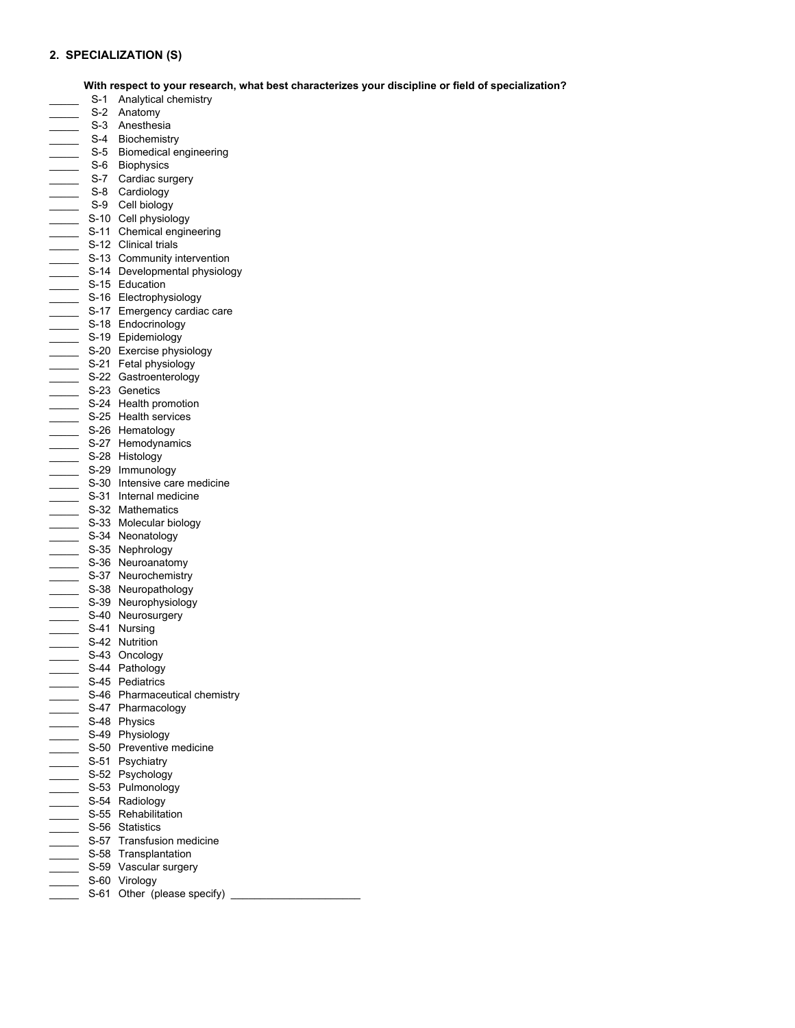## **2. SPECIALIZATION (S)**

#### **With respect to your research, what best characterizes your discipline or field of specialization?**

- S-1 Analytical chemistry
- S-2 Anatomy
- \_\_\_\_ S-3 Anesthesia
- \_ S-4 Biochemistry
- \_\_\_\_\_ S-5 Biomedical engineering
- \_\_\_\_\_ S-6 Biophysics
- S-7 Cardiac surgery
- \_ S-8 Cardiology
- \_\_\_\_\_ S-9 Cell biology
- \_\_\_\_\_\_\_\_\_ S-10 Cell physiology
- S-11 Chemical engineering
- **Example 12 S-12 Clinical trials**
- **EXECUTE:** S-13 Community intervention
- \_\_\_\_\_ S-14 Developmental physiology
- \_\_\_\_ S-15 Education
- \_\_\_\_ S-16 Electrophysiology
- \_\_\_\_\_ S-17 Emergency cardiac care
- \_\_\_\_\_ S-18 Endocrinology
- \_\_\_\_\_ S-19 Epidemiology
- \_\_\_\_\_ S-20 Exercise physiology
- \_\_\_\_\_ S-21 Fetal physiology
- \_\_\_\_\_ S-22 Gastroenterology
- \_\_\_\_\_ S-23 Genetics
- S-24 Health promotion
- \_\_\_\_\_\_\_\_ S-25 Health services
- S-26 Hematology
- S-27 Hemodynamics
- \_\_\_\_\_ S-28 Histology
- \_\_\_\_\_ S-29 Immunology
- \_ S-30 Intensive care medicine
- \_\_\_\_\_ S-31 Internal medicine
- \_\_\_\_\_ S-32 Mathematics
- \_\_\_\_\_ S-33 Molecular biology
- S-34 Neonatology
- \_\_\_\_\_ S-35 Nephrology
- \_\_\_\_\_ S-36 Neuroanatomy
- \_\_\_\_\_ S-37 Neurochemistry
- \_\_\_\_\_\_\_ S-38 Neuropathology
- \_\_\_\_\_\_\_ S-39 Neurophysiology
- \_\_\_\_\_\_\_ S-40 Neurosurgery
- S-41 Nursing
- **S-42 Nutrition**
- \_\_\_\_\_ S-43 Oncology
- \_\_\_\_\_ S-44 Pathology
- \_\_\_\_\_ S-45 Pediatrics
- \_\_\_\_\_ S-46 Pharmaceutical chemistry
- S-47 Pharmacology
- \_\_\_\_\_ S-48 Physics
- \_\_\_\_\_ S-49 Physiology
- \_\_\_\_\_ S-50 Preventive medicine
- **Example 3-51 Psychiatry**
- \_\_\_\_\_ S-52 Psychology
- \_\_\_\_\_ S-53 Pulmonology
- \_\_\_\_\_\_\_ S-54 Radiology
- S-55 Rehabilitation
- \_ S-56 Statistics
- $\overline{\phantom{a}}$  S-57 Transfusion medicine
- \_ S-58 Transplantation
- S-59 Vascular surgery
- S-60 Virology
- \_ S-61 Other (please specify) \_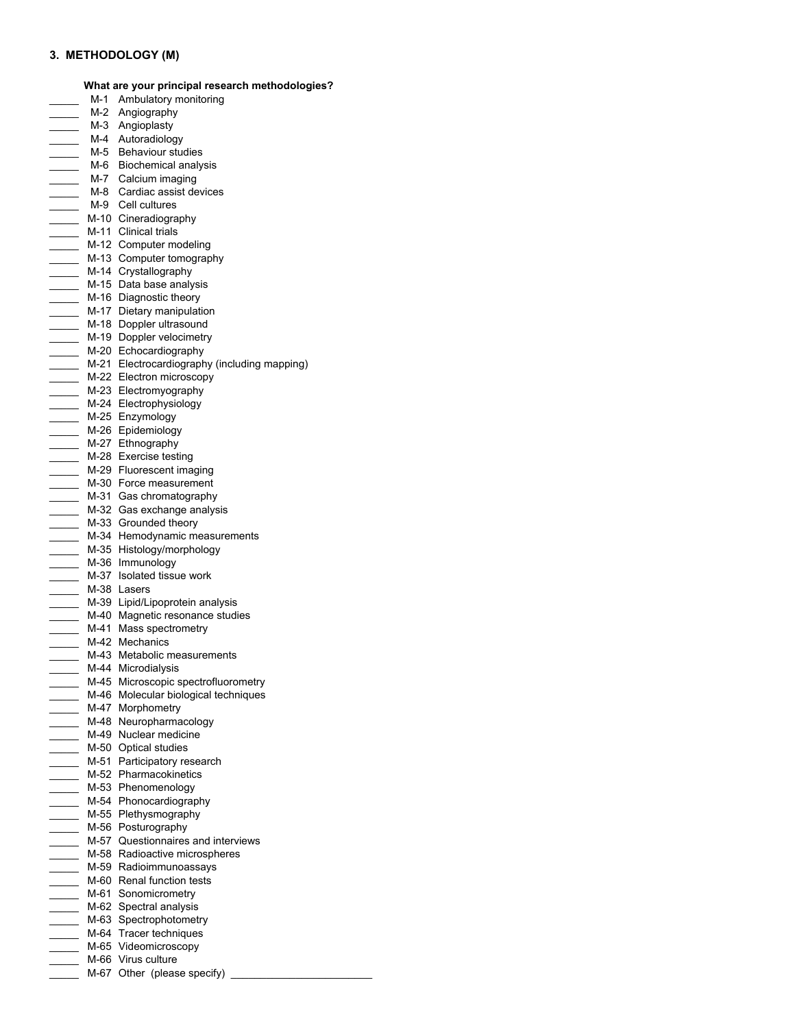## **3. METHODOLOGY (M)**

**What are your principal research methodologies?**

- M-1 Ambulatory monitoring \_\_\_\_\_ M-2 Angiography M-3 Angioplasty \_\_\_\_ M-4 Autoradiology \_\_\_\_\_ M-5 Behaviour studies \_\_\_\_\_ M-6 Biochemical analysis \_\_\_\_\_ M-7 Calcium imaging \_ M-8 Cardiac assist devices \_\_\_\_\_\_\_ M-9 Cell cultures \_\_\_\_\_\_ M-10 Cineradiography M-11 Clinical trials M-12 Computer modeling \_\_\_\_\_ M-13 Computer tomography \_\_\_\_ M-14 Crystallography \_\_\_\_\_ M-15 Data base analysis \_\_\_\_ M-16 Diagnostic theory \_\_\_\_ M-17 Dietary manipulation \_\_\_\_ M-18 Doppler ultrasound \_\_\_\_\_ M-19 Doppler velocimetry \_\_\_\_ M-20 Echocardiography \_\_\_\_\_ M-21 Electrocardiography (including mapping) \_\_\_\_ M-22 Electron microscopy \_ M-23 Electromyography \_\_\_ M-24 Electrophysiology \_\_\_\_ M-25 Enzymology \_\_\_\_ M-26 Epidemiology \_\_\_<br>\_\_\_ M-27 Ethnography \_\_\_ M-28 Exercise testing \_\_\_\_ M-29 Fluorescent imaging \_\_\_\_\_ M-30 Force measurement \_\_\_\_\_ M-31 Gas chromatography \_\_\_\_\_ M-32 Gas exchange analysis \_\_\_\_ M-33 Grounded theory \_\_\_\_ M-34 Hemodynamic measurements \_\_\_\_\_ M-35 Histology/morphology \_\_\_\_\_ M-36 Immunology \_\_\_\_\_ M-37 Isolated tissue work \_\_\_\_\_ M-38 Lasers \_\_\_ M-39 Lipid/Lipoprotein analysis \_\_\_\_\_ M-40 Magnetic resonance studies \_\_\_\_\_ M-41 Mass spectrometry \_\_\_ M-42 Mechanics \_\_\_\_ M-43 Metabolic measurements \_\_\_\_ M-44 Microdialysis \_\_\_\_\_ M-45 Microscopic spectrofluorometry \_\_\_\_\_ M-46 Molecular biological techniques \_\_\_\_ M-47 Morphometry \_\_\_\_ M-48 Neuropharmacology \_\_\_\_ M-49 Nuclear medicine \_\_\_\_\_ M-50 Optical studies **M-51 Participatory research** \_\_\_\_ M-52 Pharmacokinetics \_\_\_ M-53 Phenomenology \_\_\_\_ M-54 Phonocardiography \_\_\_\_\_ M-55 Plethysmography \_\_\_\_\_ M-56 Posturography **M-57** Questionnaires and interviews \_\_\_\_ M-58 Radioactive microspheres \_\_\_\_\_ M-59 Radioimmunoassays \_ M-60 Renal function tests \_\_\_\_ M-61 Sonomicrometry \_\_\_\_ M-62 Spectral analysis \_\_\_\_ M-63 Spectrophotometry \_\_\_\_ M-64 Tracer techniques \_\_\_\_\_ M-65 Videomicroscopy \_\_\_\_ M-66 Virus culture
- $\overline{\phantom{a}}$  M-67 Other (please specify)